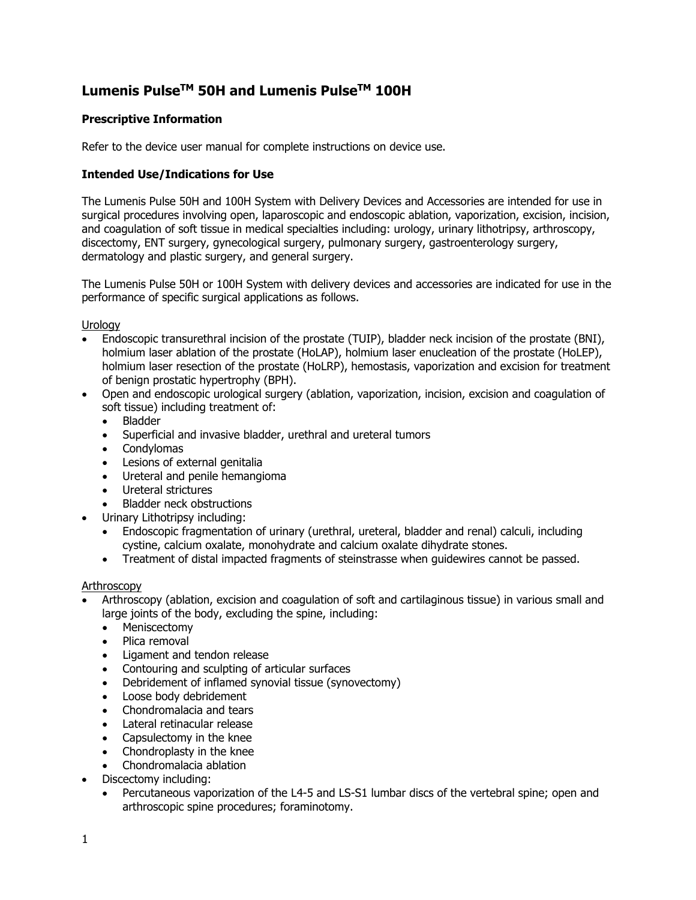# **Lumenis PulseTM 50H and Lumenis PulseTM 100H**

# **Prescriptive Information**

Refer to the device user manual for complete instructions on device use.

## **Intended Use/Indications for Use**

The Lumenis Pulse 50H and 100H System with Delivery Devices and Accessories are intended for use in surgical procedures involving open, laparoscopic and endoscopic ablation, vaporization, excision, incision, and coagulation of soft tissue in medical specialties including: urology, urinary lithotripsy, arthroscopy, discectomy, ENT surgery, gynecological surgery, pulmonary surgery, gastroenterology surgery, dermatology and plastic surgery, and general surgery.

The Lumenis Pulse 50H or 100H System with delivery devices and accessories are indicated for use in the performance of specific surgical applications as follows.

Urology

- Endoscopic transurethral incision of the prostate (TUIP), bladder neck incision of the prostate (BNI), holmium laser ablation of the prostate (HoLAP), holmium laser enucleation of the prostate (HoLEP), holmium laser resection of the prostate (HoLRP), hemostasis, vaporization and excision for treatment of benign prostatic hypertrophy (BPH).
- Open and endoscopic urological surgery (ablation, vaporization, incision, excision and coagulation of soft tissue) including treatment of:
	- Bladder
	- Superficial and invasive bladder, urethral and ureteral tumors
	- Condylomas
	- Lesions of external genitalia
	- Ureteral and penile hemangioma
	- Ureteral strictures
	- Bladder neck obstructions
	- Urinary Lithotripsy including:
	- Endoscopic fragmentation of urinary (urethral, ureteral, bladder and renal) calculi, including cystine, calcium oxalate, monohydrate and calcium oxalate dihydrate stones.
	- Treatment of distal impacted fragments of steinstrasse when guidewires cannot be passed.

## Arthroscopy

- Arthroscopy (ablation, excision and coagulation of soft and cartilaginous tissue) in various small and large joints of the body, excluding the spine, including:
	- Meniscectomy
	- Plica removal
	- Ligament and tendon release
	- Contouring and sculpting of articular surfaces
	- Debridement of inflamed synovial tissue (synovectomy)
	- Loose body debridement
	- Chondromalacia and tears
	- Lateral retinacular release
	- Capsulectomy in the knee
	- Chondroplasty in the knee
	- Chondromalacia ablation
- Discectomy including:
	- Percutaneous vaporization of the L4-5 and LS-S1 lumbar discs of the vertebral spine; open and arthroscopic spine procedures; foraminotomy.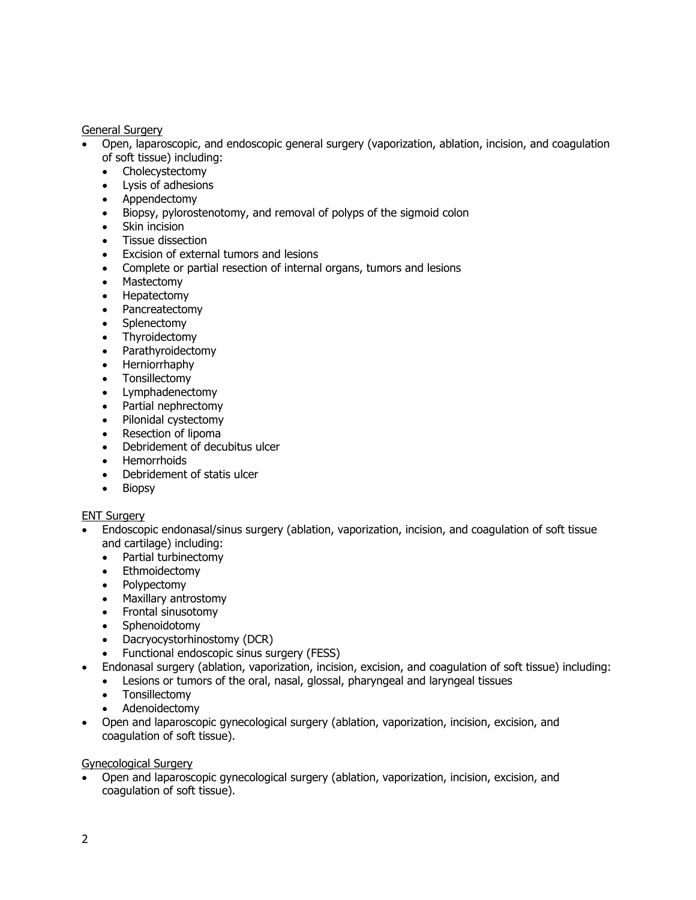General Surgery

- Open, laparoscopic, and endoscopic general surgery (vaporization, ablation, incision, and coagulation of soft tissue) including:
	- Cholecystectomy
	- Lysis of adhesions
	- Appendectomy
	- Biopsy, pylorostenotomy, and removal of polyps of the sigmoid colon
	- Skin incision
	- Tissue dissection
	- Excision of external tumors and lesions
	- Complete or partial resection of internal organs, tumors and lesions
	- Mastectomy
	- Hepatectomy
	- Pancreatectomy
	- Splenectomy
	- Thyroidectomy
	- Parathyroidectomy
	- Herniorrhaphy
	- Tonsillectomy
	- Lymphadenectomy
	- Partial nephrectomy
	- Pilonidal cystectomy
	- Resection of lipoma
	- Debridement of decubitus ulcer
	- Hemorrhoids
	- Debridement of statis ulcer
	- Biopsy

## **ENT Surgery**

- Endoscopic endonasal/sinus surgery (ablation, vaporization, incision, and coagulation of soft tissue and cartilage) including:
	- Partial turbinectomy
	- Ethmoidectomy
	- Polypectomy
	- Maxillary antrostomy
	- Frontal sinusotomy
	- Sphenoidotomy
	- Dacryocystorhinostomy (DCR)
	- Functional endoscopic sinus surgery (FESS)
	- Endonasal surgery (ablation, vaporization, incision, excision, and coagulation of soft tissue) including:
		- Lesions or tumors of the oral, nasal, glossal, pharyngeal and laryngeal tissues
		- Tonsillectomy
		- Adenoidectomy
- Open and laparoscopic gynecological surgery (ablation, vaporization, incision, excision, and coagulation of soft tissue).

Gynecological Surgery

• Open and laparoscopic gynecological surgery (ablation, vaporization, incision, excision, and coagulation of soft tissue).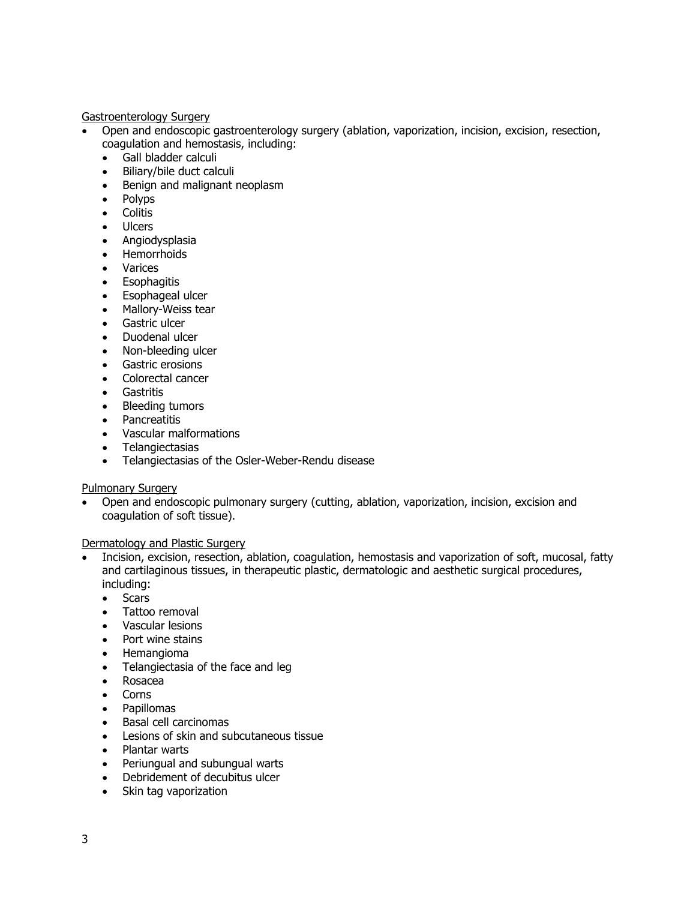Gastroenterology Surgery

- Open and endoscopic gastroenterology surgery (ablation, vaporization, incision, excision, resection, coagulation and hemostasis, including:
	- Gall bladder calculi
	- Biliary/bile duct calculi
	- Benign and malignant neoplasm
	- Polyps
	- Colitis
	- Ulcers
	- Angiodysplasia
	- Hemorrhoids<br>• Varices
	- Varices
	- Esophagitis
	- Esophageal ulcer
	- Mallory-Weiss tear
	- Gastric ulcer
	- Duodenal ulcer
	- Non-bleeding ulcer
	- Gastric erosions
	- Colorectal cancer
	- Gastritis
	- Bleeding tumors
	- Pancreatitis
	- Vascular malformations
	- Telangiectasias
	- Telangiectasias of the Osler-Weber-Rendu disease

#### Pulmonary Surgery

• Open and endoscopic pulmonary surgery (cutting, ablation, vaporization, incision, excision and coagulation of soft tissue).

Dermatology and Plastic Surgery

- Incision, excision, resection, ablation, coagulation, hemostasis and vaporization of soft, mucosal, fatty and cartilaginous tissues, in therapeutic plastic, dermatologic and aesthetic surgical procedures, including:
	- Scars
	- Tattoo removal
	- Vascular lesions
	- Port wine stains
	- Hemangioma
	- Telangiectasia of the face and leg
	- Rosacea
	- Corns
	- Papillomas
	- Basal cell carcinomas
	- Lesions of skin and subcutaneous tissue
	- Plantar warts
	- Periungual and subungual warts
	- Debridement of decubitus ulcer
	- Skin tag vaporization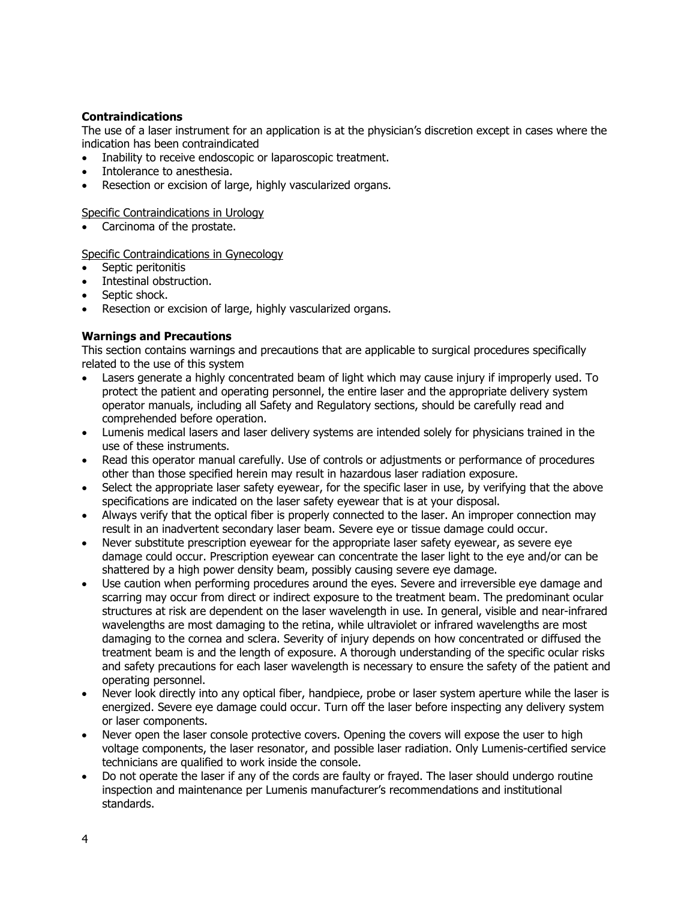## **Contraindications**

The use of a laser instrument for an application is at the physician's discretion except in cases where the indication has been contraindicated

- Inability to receive endoscopic or laparoscopic treatment.
- Intolerance to anesthesia.
- Resection or excision of large, highly vascularized organs.

Specific Contraindications in Urology

• Carcinoma of the prostate.

#### Specific Contraindications in Gynecology

- Septic peritonitis
- Intestinal obstruction.
- Septic shock.
- Resection or excision of large, highly vascularized organs.

# **Warnings and Precautions**

This section contains warnings and precautions that are applicable to surgical procedures specifically related to the use of this system

- Lasers generate a highly concentrated beam of light which may cause injury if improperly used. To protect the patient and operating personnel, the entire laser and the appropriate delivery system operator manuals, including all Safety and Regulatory sections, should be carefully read and comprehended before operation.
- Lumenis medical lasers and laser delivery systems are intended solely for physicians trained in the use of these instruments.
- Read this operator manual carefully. Use of controls or adjustments or performance of procedures other than those specified herein may result in hazardous laser radiation exposure.
- Select the appropriate laser safety eyewear, for the specific laser in use, by verifying that the above specifications are indicated on the laser safety eyewear that is at your disposal.
- Always verify that the optical fiber is properly connected to the laser. An improper connection may result in an inadvertent secondary laser beam. Severe eye or tissue damage could occur.
- Never substitute prescription eyewear for the appropriate laser safety eyewear, as severe eye damage could occur. Prescription eyewear can concentrate the laser light to the eye and/or can be shattered by a high power density beam, possibly causing severe eye damage.
- Use caution when performing procedures around the eyes. Severe and irreversible eye damage and scarring may occur from direct or indirect exposure to the treatment beam. The predominant ocular structures at risk are dependent on the laser wavelength in use. In general, visible and near-infrared wavelengths are most damaging to the retina, while ultraviolet or infrared wavelengths are most damaging to the cornea and sclera. Severity of injury depends on how concentrated or diffused the treatment beam is and the length of exposure. A thorough understanding of the specific ocular risks and safety precautions for each laser wavelength is necessary to ensure the safety of the patient and operating personnel.
- Never look directly into any optical fiber, handpiece, probe or laser system aperture while the laser is energized. Severe eye damage could occur. Turn off the laser before inspecting any delivery system or laser components.
- Never open the laser console protective covers. Opening the covers will expose the user to high voltage components, the laser resonator, and possible laser radiation. Only Lumenis-certified service technicians are qualified to work inside the console.
- Do not operate the laser if any of the cords are faulty or frayed. The laser should undergo routine inspection and maintenance per Lumenis manufacturer's recommendations and institutional standards.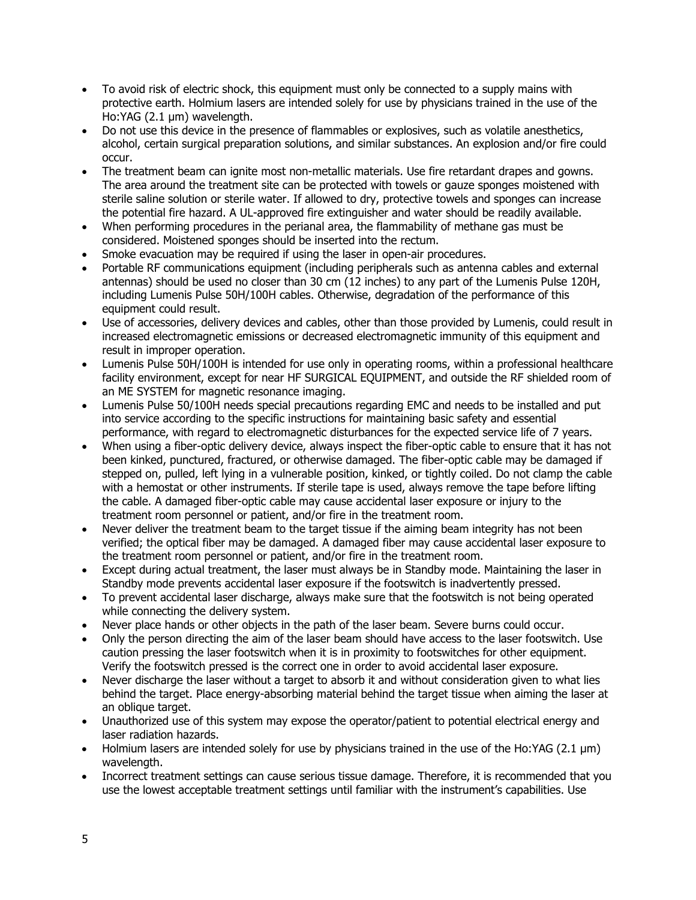- To avoid risk of electric shock, this equipment must only be connected to a supply mains with protective earth. Holmium lasers are intended solely for use by physicians trained in the use of the Ho:YAG (2.1 μm) wavelength.
- Do not use this device in the presence of flammables or explosives, such as volatile anesthetics, alcohol, certain surgical preparation solutions, and similar substances. An explosion and/or fire could occur.
- The treatment beam can ignite most non-metallic materials. Use fire retardant drapes and gowns. The area around the treatment site can be protected with towels or gauze sponges moistened with sterile saline solution or sterile water. If allowed to dry, protective towels and sponges can increase the potential fire hazard. A UL-approved fire extinguisher and water should be readily available.
- When performing procedures in the perianal area, the flammability of methane gas must be considered. Moistened sponges should be inserted into the rectum.
- Smoke evacuation may be required if using the laser in open-air procedures.
- Portable RF communications equipment (including peripherals such as antenna cables and external antennas) should be used no closer than 30 cm (12 inches) to any part of the Lumenis Pulse 120H, including Lumenis Pulse 50H/100H cables. Otherwise, degradation of the performance of this equipment could result.
- Use of accessories, delivery devices and cables, other than those provided by Lumenis, could result in increased electromagnetic emissions or decreased electromagnetic immunity of this equipment and result in improper operation.
- Lumenis Pulse 50H/100H is intended for use only in operating rooms, within a professional healthcare facility environment, except for near HF SURGICAL EQUIPMENT, and outside the RF shielded room of an ME SYSTEM for magnetic resonance imaging.
- Lumenis Pulse 50/100H needs special precautions regarding EMC and needs to be installed and put into service according to the specific instructions for maintaining basic safety and essential performance, with regard to electromagnetic disturbances for the expected service life of 7 years.
- When using a fiber-optic delivery device, always inspect the fiber-optic cable to ensure that it has not been kinked, punctured, fractured, or otherwise damaged. The fiber-optic cable may be damaged if stepped on, pulled, left lying in a vulnerable position, kinked, or tightly coiled. Do not clamp the cable with a hemostat or other instruments. If sterile tape is used, always remove the tape before lifting the cable. A damaged fiber-optic cable may cause accidental laser exposure or injury to the treatment room personnel or patient, and/or fire in the treatment room.
- Never deliver the treatment beam to the target tissue if the aiming beam integrity has not been verified; the optical fiber may be damaged. A damaged fiber may cause accidental laser exposure to the treatment room personnel or patient, and/or fire in the treatment room.
- Except during actual treatment, the laser must always be in Standby mode. Maintaining the laser in Standby mode prevents accidental laser exposure if the footswitch is inadvertently pressed.
- To prevent accidental laser discharge, always make sure that the footswitch is not being operated while connecting the delivery system.
- Never place hands or other objects in the path of the laser beam. Severe burns could occur.
- Only the person directing the aim of the laser beam should have access to the laser footswitch. Use caution pressing the laser footswitch when it is in proximity to footswitches for other equipment. Verify the footswitch pressed is the correct one in order to avoid accidental laser exposure.
- Never discharge the laser without a target to absorb it and without consideration given to what lies behind the target. Place energy-absorbing material behind the target tissue when aiming the laser at an oblique target.
- Unauthorized use of this system may expose the operator/patient to potential electrical energy and laser radiation hazards.
- Holmium lasers are intended solely for use by physicians trained in the use of the Ho:YAG (2.1 μm) wavelength.
- Incorrect treatment settings can cause serious tissue damage. Therefore, it is recommended that you use the lowest acceptable treatment settings until familiar with the instrument's capabilities. Use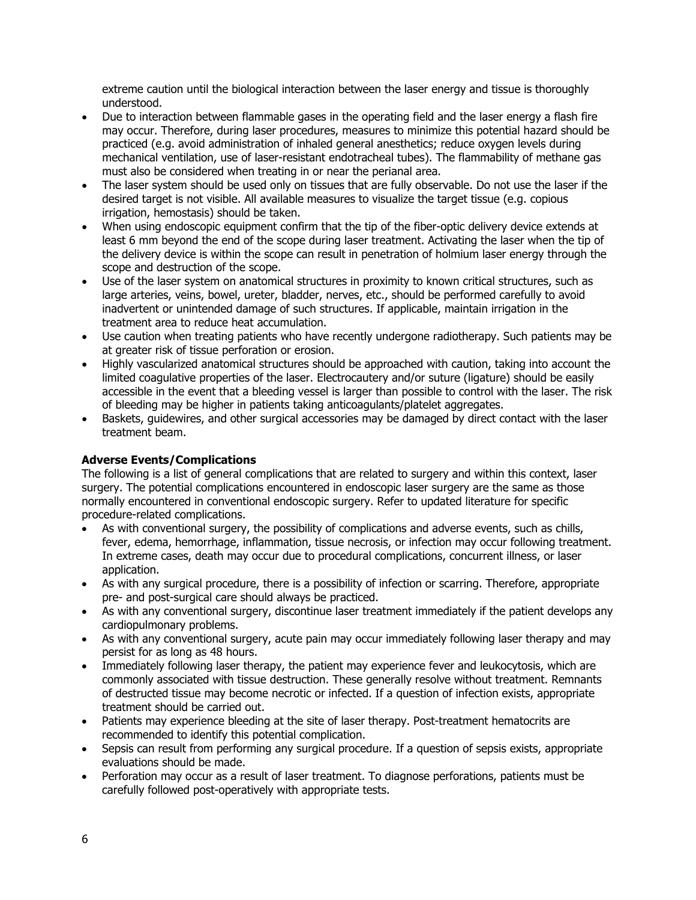extreme caution until the biological interaction between the laser energy and tissue is thoroughly understood.

- Due to interaction between flammable gases in the operating field and the laser energy a flash fire may occur. Therefore, during laser procedures, measures to minimize this potential hazard should be practiced (e.g. avoid administration of inhaled general anesthetics; reduce oxygen levels during mechanical ventilation, use of laser-resistant endotracheal tubes). The flammability of methane gas must also be considered when treating in or near the perianal area.
- The laser system should be used only on tissues that are fully observable. Do not use the laser if the desired target is not visible. All available measures to visualize the target tissue (e.g. copious irrigation, hemostasis) should be taken.
- When using endoscopic equipment confirm that the tip of the fiber-optic delivery device extends at least 6 mm beyond the end of the scope during laser treatment. Activating the laser when the tip of the delivery device is within the scope can result in penetration of holmium laser energy through the scope and destruction of the scope.
- Use of the laser system on anatomical structures in proximity to known critical structures, such as large arteries, veins, bowel, ureter, bladder, nerves, etc., should be performed carefully to avoid inadvertent or unintended damage of such structures. If applicable, maintain irrigation in the treatment area to reduce heat accumulation.
- Use caution when treating patients who have recently undergone radiotherapy. Such patients may be at greater risk of tissue perforation or erosion.
- Highly vascularized anatomical structures should be approached with caution, taking into account the limited coagulative properties of the laser. Electrocautery and/or suture (ligature) should be easily accessible in the event that a bleeding vessel is larger than possible to control with the laser. The risk of bleeding may be higher in patients taking anticoagulants/platelet aggregates.
- Baskets, guidewires, and other surgical accessories may be damaged by direct contact with the laser treatment beam.

# **Adverse Events/Complications**

The following is a list of general complications that are related to surgery and within this context, laser surgery. The potential complications encountered in endoscopic laser surgery are the same as those normally encountered in conventional endoscopic surgery. Refer to updated literature for specific procedure-related complications.

- As with conventional surgery, the possibility of complications and adverse events, such as chills, fever, edema, hemorrhage, inflammation, tissue necrosis, or infection may occur following treatment. In extreme cases, death may occur due to procedural complications, concurrent illness, or laser application.
- As with any surgical procedure, there is a possibility of infection or scarring. Therefore, appropriate pre- and post-surgical care should always be practiced.
- As with any conventional surgery, discontinue laser treatment immediately if the patient develops any cardiopulmonary problems.
- As with any conventional surgery, acute pain may occur immediately following laser therapy and may persist for as long as 48 hours.
- Immediately following laser therapy, the patient may experience fever and leukocytosis, which are commonly associated with tissue destruction. These generally resolve without treatment. Remnants of destructed tissue may become necrotic or infected. If a question of infection exists, appropriate treatment should be carried out.
- Patients may experience bleeding at the site of laser therapy. Post-treatment hematocrits are recommended to identify this potential complication.
- Sepsis can result from performing any surgical procedure. If a question of sepsis exists, appropriate evaluations should be made.
- Perforation may occur as a result of laser treatment. To diagnose perforations, patients must be carefully followed post-operatively with appropriate tests.